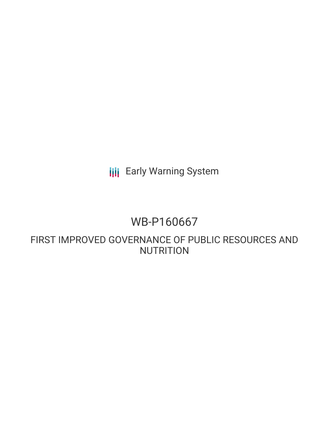**III** Early Warning System

### WB-P160667

FIRST IMPROVED GOVERNANCE OF PUBLIC RESOURCES AND **NUTRITION**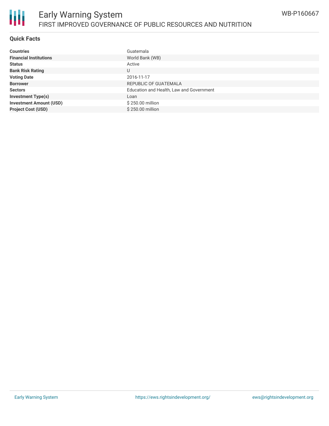

#### **Quick Facts**

| <b>Countries</b>               | Guatemala                                |
|--------------------------------|------------------------------------------|
| <b>Financial Institutions</b>  | World Bank (WB)                          |
| <b>Status</b>                  | Active                                   |
| <b>Bank Risk Rating</b>        | U                                        |
| <b>Voting Date</b>             | 2016-11-17                               |
| <b>Borrower</b>                | REPUBLIC OF GUATEMALA                    |
| <b>Sectors</b>                 | Education and Health, Law and Government |
| <b>Investment Type(s)</b>      | Loan                                     |
| <b>Investment Amount (USD)</b> | \$250.00 million                         |
| <b>Project Cost (USD)</b>      | \$250,00 million                         |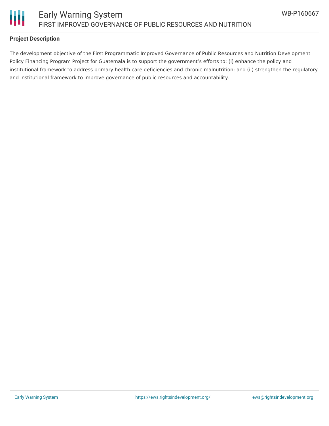

#### **Project Description**

The development objective of the First Programmatic Improved Governance of Public Resources and Nutrition Development Policy Financing Program Project for Guatemala is to support the government's efforts to: (i) enhance the policy and institutional framework to address primary health care deficiencies and chronic malnutrition; and (ii) strengthen the regulatory and institutional framework to improve governance of public resources and accountability.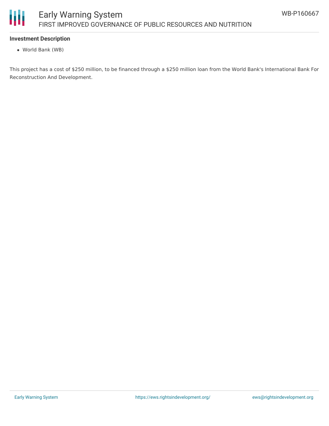

### **Investment Description**

World Bank (WB)

This project has a cost of \$250 million, to be financed through a \$250 million loan from the World Bank's International Bank For Reconstruction And Development.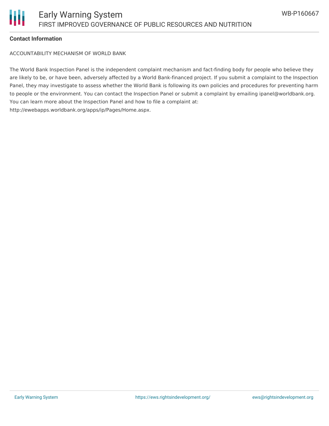# Ш

### **Contact Information**

ACCOUNTABILITY MECHANISM OF WORLD BANK

The World Bank Inspection Panel is the independent complaint mechanism and fact-finding body for people who believe they are likely to be, or have been, adversely affected by a World Bank-financed project. If you submit a complaint to the Inspection Panel, they may investigate to assess whether the World Bank is following its own policies and procedures for preventing harm to people or the environment. You can contact the Inspection Panel or submit a complaint by emailing ipanel@worldbank.org. You can learn more about the Inspection Panel and how to file a complaint at: http://ewebapps.worldbank.org/apps/ip/Pages/Home.aspx.